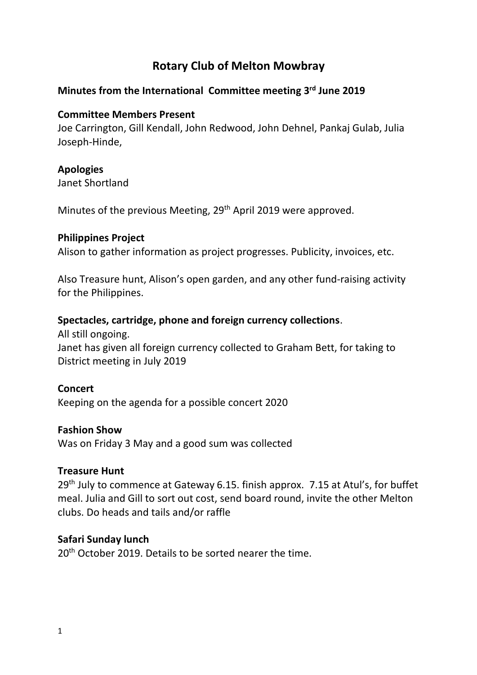# **Rotary Club of Melton Mowbray**

# **Minutes from the International Committee meeting 3 rd June 2019**

#### **Committee Members Present**

Joe Carrington, Gill Kendall, John Redwood, John Dehnel, Pankaj Gulab, Julia Joseph-Hinde,

#### **Apologies**

Janet Shortland

Minutes of the previous Meeting, 29<sup>th</sup> April 2019 were approved.

#### **Philippines Project**

Alison to gather information as project progresses. Publicity, invoices, etc.

Also Treasure hunt, Alison's open garden, and any other fund-raising activity for the Philippines.

#### **Spectacles, cartridge, phone and foreign currency collections**.

All still ongoing. Janet has given all foreign currency collected to Graham Bett, for taking to District meeting in July 2019

#### **Concert**

Keeping on the agenda for a possible concert 2020

#### **Fashion Show**

Was on Friday 3 May and a good sum was collected

#### **Treasure Hunt**

29<sup>th</sup> July to commence at Gateway 6.15. finish approx. 7.15 at Atul's, for buffet meal. Julia and Gill to sort out cost, send board round, invite the other Melton clubs. Do heads and tails and/or raffle

#### **Safari Sunday lunch**

20<sup>th</sup> October 2019. Details to be sorted nearer the time.